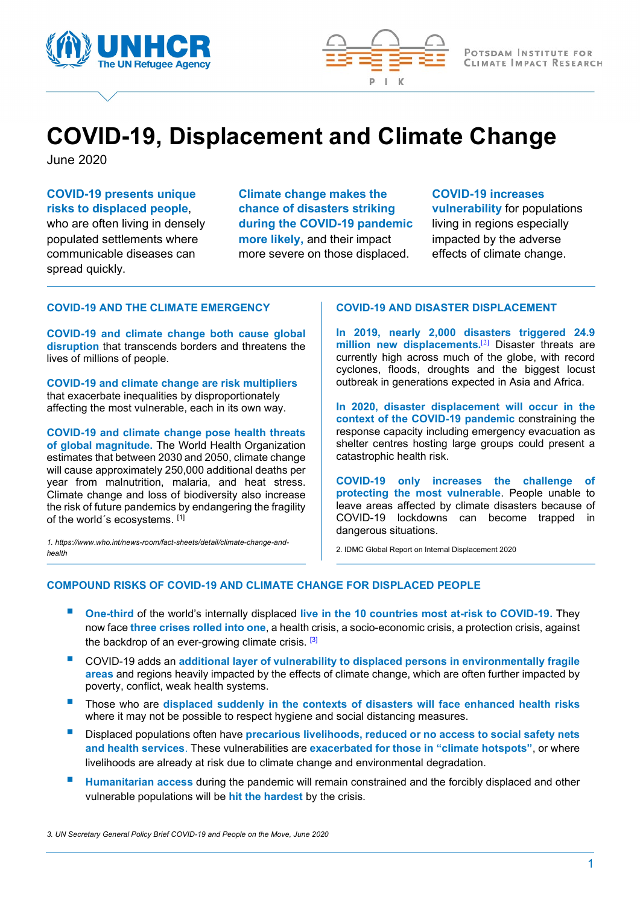



## COVID-19, Displacement and Climate Change

June 2020

### COVID-19 presents unique risks to displaced people,

who are often living in densely populated settlements where communicable diseases can spread quickly.

Climate change makes the chance of disasters striking during the COVID-19 pandemic more likely, and their impact more severe on those displaced.

### COVID-19 increases

vulnerability for populations living in regions especially impacted by the adverse effects of climate change.

### COVID-19 AND THE CLIMATE EMERGENCY

COVID-19 and climate change both cause global disruption that transcends borders and threatens the lives of millions of people.

COVID-19 and climate change are risk multipliers that exacerbate inequalities by disproportionately affecting the most vulnerable, each in its own way.

COVID-19 and climate change pose health threats of global magnitude. The World Health Organization estimates that between 2030 and 2050, climate change will cause approximately 250,000 additional deaths per year from malnutrition, malaria, and heat stress. Climate change and loss of biodiversity also increase the risk of future pandemics by endangering the fragility of the world´s ecosystems. [1]

1. https://www.who.int/news-room/fact-sheets/detail/climate-change-andhealth

### COVID-19 AND DISASTER DISPLACEMENT

In 2019, nearly 2,000 disasters triggered 24.9 million new displacements.<sup>[2]</sup> Disaster threats are currently high across much of the globe, with record cyclones, floods, droughts and the biggest locust outbreak in generations expected in Asia and Africa.

In 2020, disaster displacement will occur in the context of the COVID-19 pandemic constraining the response capacity including emergency evacuation as shelter centres hosting large groups could present a catastrophic health risk.

COVID-19 only increases the challenge of protecting the most vulnerable. People unable to leave areas affected by climate disasters because of COVID-19 lockdowns can become trapped in dangerous situations.

2. IDMC Global Report on Internal Displacement 2020

### COMPOUND RISKS OF COVID-19 AND CLIMATE CHANGE FOR DISPLACED PEOPLE

- One-third of the world's internally displaced live in the 10 countries most at-risk to COVID-19. They now face three crises rolled into one, a health crisis, a socio-economic crisis, a protection crisis, against the backdrop of an ever-growing climate crisis. [3]
- COVID-19 adds an additional layer of vulnerability to displaced persons in environmentally fragile areas and regions heavily impacted by the effects of climate change, which are often further impacted by poverty, conflict, weak health systems.
- Those who are displaced suddenly in the contexts of disasters will face enhanced health risks where it may not be possible to respect hygiene and social distancing measures.
- Displaced populations often have precarious livelihoods, reduced or no access to social safety nets and health services. These vulnerabilities are exacerbated for those in "climate hotspots", or where livelihoods are already at risk due to climate change and environmental degradation.
- Humanitarian access during the pandemic will remain constrained and the forcibly displaced and other vulnerable populations will be hit the hardest by the crisis.

3. UN Secretary General Policy Brief COVID-19 and People on the Move, June 2020